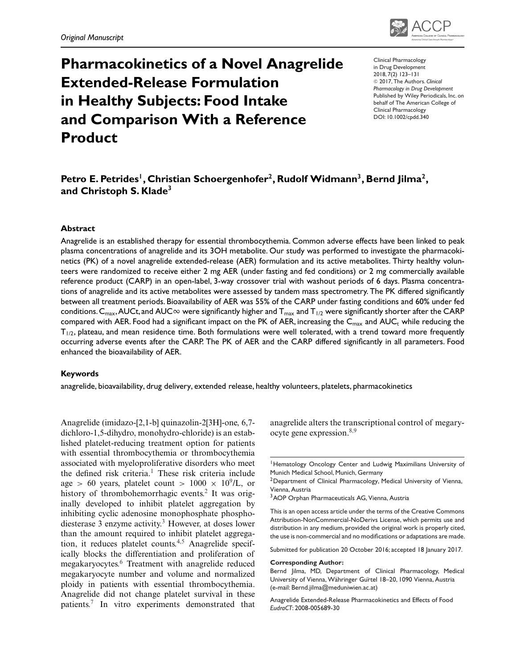

# **Pharmacokinetics of a Novel Anagrelide Extended-Release Formulation in Healthy Subjects: Food Intake and Comparison With a Reference Product**

Clinical Pharmacology in Drug Development 2018, 7(2) 123–131 -<sup>C</sup> 2017, The Authors. *Clinical Pharmacology in Drug Development* Published by Wiley Periodicals, Inc. on behalf of The American College of Clinical Pharmacology DOI: 10.1002/cpdd.340

# Petro E. Petrides<sup>1</sup>, Christian Schoergenhofer<sup>2</sup>, Rudolf Widmann<sup>3</sup>, Bernd Jilma<sup>2</sup>, **and Christoph S. Klade<sup>3</sup>**

#### **Abstract**

Anagrelide is an established therapy for essential thrombocythemia. Common adverse effects have been linked to peak plasma concentrations of anagrelide and its 3OH metabolite. Our study was performed to investigate the pharmacokinetics (PK) of a novel anagrelide extended-release (AER) formulation and its active metabolites. Thirty healthy volunteers were randomized to receive either 2 mg AER (under fasting and fed conditions) or 2 mg commercially available reference product (CARP) in an open-label, 3-way crossover trial with washout periods of 6 days. Plasma concentrations of anagrelide and its active metabolites were assessed by tandem mass spectrometry. The PK differed significantly between all treatment periods. Bioavailability of AER was 55% of the CARP under fasting conditions and 60% under fed conditions. C $_{\max}$ , AUCt, and AUC $\infty$  were significantly higher and T $_{\max}$  and T $_{1/2}$  were significantly shorter after the CARP compared with AER. Food had a significant impact on the PK of AER, increasing the  $C_{\text{max}}$  and AUC<sub>t</sub> while reducing the  $T_{1/2}$ , plateau, and mean residence time. Both formulations were well tolerated, with a trend toward more frequently occurring adverse events after the CARP. The PK of AER and the CARP differed significantly in all parameters. Food enhanced the bioavailability of AER.

#### **Keywords**

anagrelide, bioavailability, drug delivery, extended release, healthy volunteers, platelets, pharmacokinetics

Anagrelide (imidazo-[2,1-b] quinazolin-2[3H]-one, 6,7 dichloro-1,5-dihydro, monohydro-chloride) is an established platelet-reducing treatment option for patients with essential thrombocythemia or thrombocythemia associated with myeloproliferative disorders who meet the defined risk criteria.<sup>1</sup> These risk criteria include age > 60 years, platelet count >  $1000 \times 10^9$ /L, or history of thrombohemorrhagic events.<sup>2</sup> It was originally developed to inhibit platelet aggregation by inhibiting cyclic adenosine monophosphate phosphodiesterase 3 enzyme activity.<sup>3</sup> However, at doses lower than the amount required to inhibit platelet aggregation, it reduces platelet counts.<sup>4,5</sup> Anagrelide specifically blocks the differentiation and proliferation of megakaryocytes.6 Treatment with anagrelide reduced megakaryocyte number and volume and normalized ploidy in patients with essential thrombocythemia. Anagrelide did not change platelet survival in these patients.<sup>7</sup> In vitro experiments demonstrated that anagrelide alters the transcriptional control of megaryocyte gene expression. $8,9$ 

<sup>2</sup>Department of Clinical Pharmacology, Medical University of Vienna, Vienna, Austria

<sup>3</sup> AOP Orphan Pharmaceuticals AG, Vienna, Austria

This is an open access article under the terms of the Creative Commons Attribution-NonCommercial-NoDerivs License, which permits use and distribution in any medium, provided the original work is properly cited, the use is non-commercial and no modifications or adaptations are made.

Submitted for publication 20 October 2016; accepted 18 January 2017.

#### **Corresponding Author:**

Bernd Jilma, MD, Department of Clinical Pharmacology, Medical University of Vienna, Währinger Gurtel 18–20, 1090 Vienna, Austria (e-mail: Bernd.jilma@meduniwien.ac.at)

Anagrelide Extended-Release Pharmacokinetics and Effects of Food *EudraCT*: 2008-005689-30

<sup>&</sup>lt;sup>1</sup> Hematology Oncology Center and Ludwig Maximilians University of Munich Medical School, Munich, Germany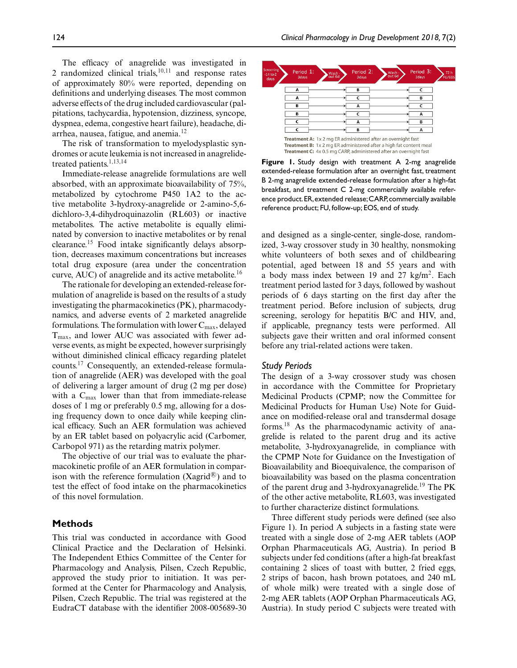The efficacy of anagrelide was investigated in 2 randomized clinical trials, $10,11$  and response rates of approximately 80% were reported, depending on definitions and underlying diseases. The most common adverse effects of the drug included cardiovascular (palpitations, tachycardia, hypotension, dizziness, syncope, dyspnea, edema, congestive heart failure), headache, diarrhea, nausea, fatigue, and anemia.12

The risk of transformation to myelodysplastic syndromes or acute leukemia is not increased in anagrelidetreated patients.<sup>1,13,14</sup>

Immediate-release anagrelide formulations are well absorbed, with an approximate bioavailability of 75%, metabolized by cytochrome P450 1A2 to the active metabolite 3-hydroxy-anagrelide or 2-amino-5,6 dichloro-3,4-dihydroquinazolin (RL603) or inactive metabolites. The active metabolite is equally eliminated by conversion to inactive metabolites or by renal clearance.15 Food intake significantly delays absorption, decreases maximum concentrations but increases total drug exposure (area under the concentration curve, AUC) of anagrelide and its active metabolite.<sup>16</sup>

The rationale for developing an extended-release formulation of anagrelide is based on the results of a study investigating the pharmacokinetics (PK), pharmacodynamics, and adverse events of 2 marketed anagrelide formulations. The formulation with lower  $C_{\text{max}}$ , delayed  $T<sub>max</sub>$ , and lower AUC was associated with fewer adverse events, as might be expected, however surprisingly without diminished clinical efficacy regarding platelet counts.17 Consequently, an extended-release formulation of anagrelide (AER) was developed with the goal of delivering a larger amount of drug (2 mg per dose) with a  $C_{\text{max}}$  lower than that from immediate-release doses of 1 mg or preferably 0.5 mg, allowing for a dosing frequency down to once daily while keeping clinical efficacy. Such an AER formulation was achieved by an ER tablet based on polyacrylic acid (Carbomer, Carbopol 971) as the retarding matrix polymer.

The objective of our trial was to evaluate the pharmacokinetic profile of an AER formulation in comparison with the reference formulation (Xagrid $\mathbb{B}$ ) and to test the effect of food intake on the pharmacokinetics of this novel formulation.

## **Methods**

This trial was conducted in accordance with Good Clinical Practice and the Declaration of Helsinki. The Independent Ethics Committee of the Center for Pharmacology and Analysis, Pilsen, Czech Republic, approved the study prior to initiation. It was performed at the Center for Pharmacology and Analysis, Pilsen, Czech Republic. The trial was registered at the EudraCT database with the identifier 2008-005689-30



**Figure 1.** Study design with treatment A 2-mg anagrelide extended-release formulation after an overnight fast, treatment B 2-mg anagrelide extended-release formulation after a high-fat breakfast, and treatment C 2-mg commercially available reference product.ER,extended release;CARP,commercially available reference product; FU, follow-up; EOS, end of study.

and designed as a single-center, single-dose, randomized, 3-way crossover study in 30 healthy, nonsmoking white volunteers of both sexes and of childbearing potential, aged between 18 and 55 years and with a body mass index between 19 and 27  $\text{kg/m}^2$ . Each treatment period lasted for 3 days, followed by washout periods of 6 days starting on the first day after the treatment period. Before inclusion of subjects, drug screening, serology for hepatitis B/C and HIV, and, if applicable, pregnancy tests were performed. All subjects gave their written and oral informed consent before any trial-related actions were taken.

## *Study Periods*

The design of a 3-way crossover study was chosen in accordance with the Committee for Proprietary Medicinal Products (CPMP; now the Committee for Medicinal Products for Human Use) Note for Guidance on modified-release oral and transdermal dosage forms.18 As the pharmacodynamic activity of anagrelide is related to the parent drug and its active metabolite, 3-hydroxyanagrelide, in compliance with the CPMP Note for Guidance on the Investigation of Bioavailability and Bioequivalence, the comparison of bioavailability was based on the plasma concentration of the parent drug and 3-hydroxyanagrelide.<sup>19</sup> The PK of the other active metabolite, RL603, was investigated to further characterize distinct formulations.

Three different study periods were defined (see also Figure 1). In period A subjects in a fasting state were treated with a single dose of 2-mg AER tablets (AOP Orphan Pharmaceuticals AG, Austria). In period B subjects under fed conditions (after a high-fat breakfast containing 2 slices of toast with butter, 2 fried eggs, 2 strips of bacon, hash brown potatoes, and 240 mL of whole milk) were treated with a single dose of 2-mg AER tablets (AOP Orphan Pharmaceuticals AG, Austria). In study period C subjects were treated with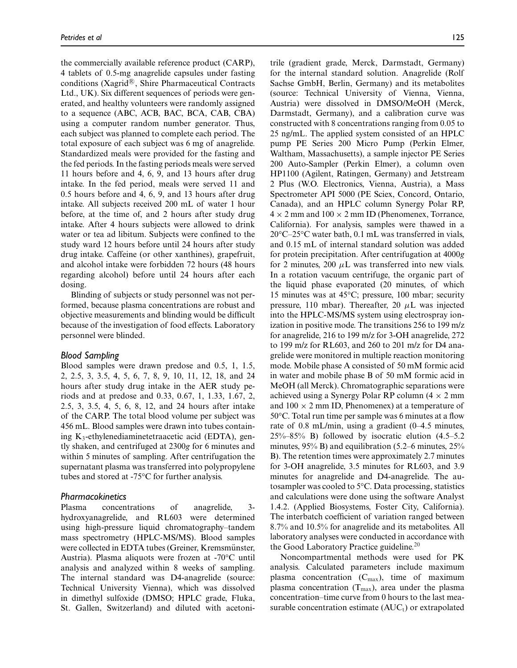the commercially available reference product (CARP), 4 tablets of 0.5-mg anagrelide capsules under fasting conditions (Xagrid $\mathcal{R}$ ), Shire Pharmaceutical Contracts Ltd., UK). Six different sequences of periods were generated, and healthy volunteers were randomly assigned to a sequence (ABC, ACB, BAC, BCA, CAB, CBA) using a computer random number generator. Thus, each subject was planned to complete each period. The total exposure of each subject was 6 mg of anagrelide. Standardized meals were provided for the fasting and the fed periods. In the fasting periods meals were served 11 hours before and 4, 6, 9, and 13 hours after drug intake. In the fed period, meals were served 11 and 0.5 hours before and 4, 6, 9, and 13 hours after drug intake. All subjects received 200 mL of water 1 hour before, at the time of, and 2 hours after study drug intake. After 4 hours subjects were allowed to drink water or tea ad libitum. Subjects were confined to the study ward 12 hours before until 24 hours after study drug intake. Caffeine (or other xanthines), grapefruit, and alcohol intake were forbidden 72 hours (48 hours regarding alcohol) before until 24 hours after each dosing.

Blinding of subjects or study personnel was not performed, because plasma concentrations are robust and objective measurements and blinding would be difficult because of the investigation of food effects. Laboratory personnel were blinded.

#### *Blood Sampling*

Blood samples were drawn predose and 0.5, 1, 1.5, 2, 2.5, 3, 3.5, 4, 5, 6, 7, 8, 9, 10, 11, 12, 18, and 24 hours after study drug intake in the AER study periods and at predose and 0.33, 0.67, 1, 1.33, 1.67, 2, 2.5, 3, 3.5, 4, 5, 6, 8, 12, and 24 hours after intake of the CARP. The total blood volume per subject was 456 mL. Blood samples were drawn into tubes containing K3-ethylenediaminetetraacetic acid (EDTA), gently shaken, and centrifuged at 2300*g* for 6 minutes and within 5 minutes of sampling. After centrifugation the supernatant plasma was transferred into polypropylene tubes and stored at -75°C for further analysis.

#### *Pharmacokinetics*

Plasma concentrations of anagrelide, 3 hydroxyanagrelide, and RL603 were determined using high-pressure liquid chromatography–tandem mass spectrometry (HPLC-MS/MS). Blood samples were collected in EDTA tubes (Greiner, Kremsmünster, Austria). Plasma aliquots were frozen at -70°C until analysis and analyzed within 8 weeks of sampling. The internal standard was D4-anagrelide (source: Technical University Vienna), which was dissolved in dimethyl sulfoxide (DMSO; HPLC grade, Fluka, St. Gallen, Switzerland) and diluted with acetoni-

trile (gradient grade, Merck, Darmstadt, Germany) for the internal standard solution. Anagrelide (Rolf Sachse GmbH, Berlin, Germany) and its metabolites (source: Technical University of Vienna, Vienna, Austria) were dissolved in DMSO/MeOH (Merck, Darmstadt, Germany), and a calibration curve was constructed with 8 concentrations ranging from 0.05 to 25 ng/mL. The applied system consisted of an HPLC pump PE Series 200 Micro Pump (Perkin Elmer, Waltham, Massachusetts), a sample injector PE Series 200 Auto-Sampler (Perkin Elmer), a column oven HP1100 (Agilent, Ratingen, Germany) and Jetstream 2 Plus (W.O. Electronics, Vienna, Austria), a Mass Spectrometer API 5000 (PE Sciex, Concord, Ontario, Canada), and an HPLC column Synergy Polar RP,  $4 \times 2$  mm and  $100 \times 2$  mm ID (Phenomenex, Torrance, California). For analysis, samples were thawed in a 20°C–25°C water bath, 0.1 mL was transferred in vials, and 0.15 mL of internal standard solution was added for protein precipitation. After centrifugation at 4000*g* for 2 minutes, 200  $\mu$ L was transferred into new vials. In a rotation vacuum centrifuge, the organic part of the liquid phase evaporated (20 minutes, of which 15 minutes was at 45°C; pressure, 100 mbar; security pressure, 110 mbar). Thereafter, 20  $\mu$ L was injected into the HPLC-MS/MS system using electrospray ionization in positive mode. The transitions 256 to 199 m/z for anagrelide, 216 to 199 m/z for 3-OH anagrelide, 272 to 199 m/z for RL603, and 260 to 201 m/z for D4 anagrelide were monitored in multiple reaction monitoring mode. Mobile phase A consisted of 50 mM formic acid in water and mobile phase B of 50 mM formic acid in MeOH (all Merck). Chromatographic separations were achieved using a Synergy Polar RP column  $(4 \times 2 \text{ mm})$ and  $100 \times 2$  mm ID, Phenomenex) at a temperature of 50°C. Total run time per sample was 6 minutes at a flow rate of 0.8 mL/min, using a gradient (0–4.5 minutes, 25%–85% B) followed by isocratic elution (4.5–5.2 minutes, 95% B) and equilibration (5.2–6 minutes, 25% B). The retention times were approximately 2.7 minutes for 3-OH anagrelide, 3.5 minutes for RL603, and 3.9 minutes for anagrelide and D4-anagrelide. The autosampler was cooled to 5°C. Data processing, statistics and calculations were done using the software Analyst 1.4.2. (Applied Biosystems, Foster City, California). The interbatch coefficient of variation ranged between 8.7% and 10.5% for anagrelide and its metabolites. All laboratory analyses were conducted in accordance with the Good Laboratory Practice guideline.<sup>20</sup>

Noncompartmental methods were used for PK analysis. Calculated parameters include maximum plasma concentration  $(C_{\text{max}})$ , time of maximum plasma concentration  $(T_{\text{max}})$ , area under the plasma concentration–time curve from 0 hours to the last measurable concentration estimate  $(AUC_t)$  or extrapolated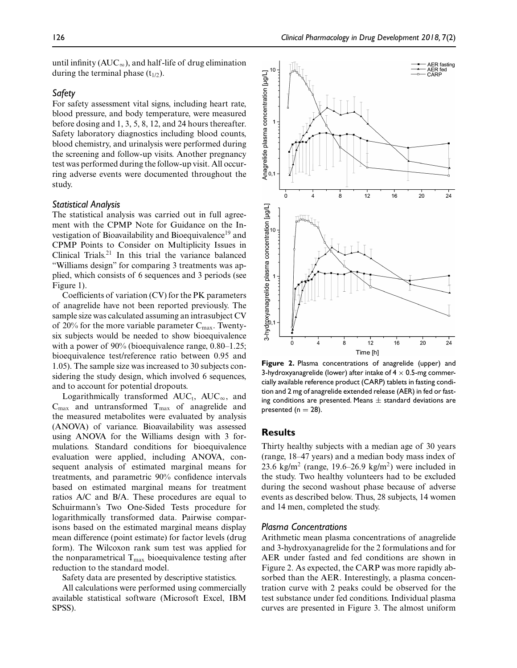until infinity ( $AUC_{\infty}$ ), and half-life of drug elimination during the terminal phase  $(t_{1/2})$ .

## *Safety*

For safety assessment vital signs, including heart rate, blood pressure, and body temperature, were measured before dosing and 1, 3, 5, 8, 12, and 24 hours thereafter. Safety laboratory diagnostics including blood counts, blood chemistry, and urinalysis were performed during the screening and follow-up visits. Another pregnancy test was performed during the follow-up visit. All occurring adverse events were documented throughout the study.

## *Statistical Analysis*

The statistical analysis was carried out in full agreement with the CPMP Note for Guidance on the Investigation of Bioavailability and Bioequivalence<sup>19</sup> and CPMP Points to Consider on Multiplicity Issues in Clinical Trials.<sup>21</sup> In this trial the variance balanced "Williams design" for comparing 3 treatments was applied, which consists of 6 sequences and 3 periods (see Figure 1).

Coefficients of variation (CV) for the PK parameters of anagrelide have not been reported previously. The sample size was calculated assuming an intrasubject CV of 20% for the more variable parameter  $C_{\text{max}}$ . Twentysix subjects would be needed to show bioequivalence with a power of 90% (bioequivalence range, 0.80–1.25; bioequivalence test/reference ratio between 0.95 and 1.05). The sample size was increased to 30 subjects considering the study design, which involved 6 sequences, and to account for potential dropouts.

Logarithmically transformed  $AUC_t$ ,  $AUC_\infty$ , and  $C_{\text{max}}$  and untransformed  $T_{\text{max}}$  of anagrelide and the measured metabolites were evaluated by analysis (ANOVA) of variance. Bioavailability was assessed using ANOVA for the Williams design with 3 formulations. Standard conditions for bioequivalence evaluation were applied, including ANOVA, consequent analysis of estimated marginal means for treatments, and parametric 90% confidence intervals based on estimated marginal means for treatment ratios A/C and B/A. These procedures are equal to Schuirmann's Two One-Sided Tests procedure for logarithmically transformed data. Pairwise comparisons based on the estimated marginal means display mean difference (point estimate) for factor levels (drug form). The Wilcoxon rank sum test was applied for the nonparametrical  $T_{\text{max}}$  bioequivalence testing after reduction to the standard model.

Safety data are presented by descriptive statistics.

All calculations were performed using commercially available statistical software (Microsoft Excel, IBM SPSS).



**Figure 2.** Plasma concentrations of anagrelide (upper) and 3-hydroxyanagrelide (lower) after intake of  $4 \times 0.5$ -mg commercially available reference product (CARP) tablets in fasting condition and 2 mg of anagrelide extended release (AER) in fed or fasting conditions are presented. Means  $\pm$  standard deviations are presented ( $n = 28$ ).

#### **Results**

Thirty healthy subjects with a median age of 30 years (range, 18–47 years) and a median body mass index of 23.6 kg/m<sup>2</sup> (range, 19.6–26.9 kg/m<sup>2</sup>) were included in the study. Two healthy volunteers had to be excluded during the second washout phase because of adverse events as described below. Thus, 28 subjects, 14 women and 14 men, completed the study.

#### *Plasma Concentrations*

Arithmetic mean plasma concentrations of anagrelide and 3-hydroxyanagrelide for the 2 formulations and for AER under fasted and fed conditions are shown in Figure 2. As expected, the CARP was more rapidly absorbed than the AER. Interestingly, a plasma concentration curve with 2 peaks could be observed for the test substance under fed conditions. Individual plasma curves are presented in Figure 3. The almost uniform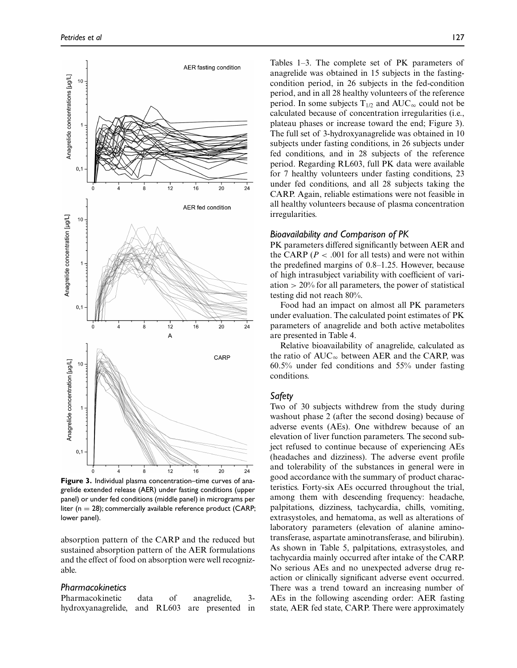

**Figure 3.** Individual plasma concentration–time curves of anagrelide extended release (AER) under fasting conditions (upper panel) or under fed conditions (middle panel) in micrograms per liter ( $n = 28$ ); commercially available reference product (CARP; lower panel).

absorption pattern of the CARP and the reduced but sustained absorption pattern of the AER formulations and the effect of food on absorption were well recognizable.

#### *Pharmacokinetics*

Pharmacokinetic data of anagrelide, 3 hydroxyanagrelide, and RL603 are presented in Tables 1–3. The complete set of PK parameters of anagrelide was obtained in 15 subjects in the fastingcondition period, in 26 subjects in the fed-condition period, and in all 28 healthy volunteers of the reference period. In some subjects  $T_{1/2}$  and  $AUC_{\infty}$  could not be calculated because of concentration irregularities (i.e., plateau phases or increase toward the end; Figure 3). The full set of 3-hydroxyanagrelide was obtained in 10 subjects under fasting conditions, in 26 subjects under fed conditions, and in 28 subjects of the reference period. Regarding RL603, full PK data were available for 7 healthy volunteers under fasting conditions, 23 under fed conditions, and all 28 subjects taking the CARP. Again, reliable estimations were not feasible in all healthy volunteers because of plasma concentration irregularities.

#### *Bioavailability and Comparison of PK*

PK parameters differed significantly between AER and the CARP ( $P < .001$  for all tests) and were not within the predefined margins of 0.8–1.25. However, because of high intrasubject variability with coefficient of variation  $> 20\%$  for all parameters, the power of statistical testing did not reach 80%.

Food had an impact on almost all PK parameters under evaluation. The calculated point estimates of PK parameters of anagrelide and both active metabolites are presented in Table 4.

Relative bioavailability of anagrelide, calculated as the ratio of  $AUC_{\infty}$  between AER and the CARP, was 60.5% under fed conditions and 55% under fasting conditions.

#### *Safety*

Two of 30 subjects withdrew from the study during washout phase 2 (after the second dosing) because of adverse events (AEs). One withdrew because of an elevation of liver function parameters. The second subject refused to continue because of experiencing AEs (headaches and dizziness). The adverse event profile and tolerability of the substances in general were in good accordance with the summary of product characteristics. Forty-six AEs occurred throughout the trial, among them with descending frequency: headache, palpitations, dizziness, tachycardia, chills, vomiting, extrasystoles, and hematoma, as well as alterations of laboratory parameters (elevation of alanine aminotransferase, aspartate aminotransferase, and bilirubin). As shown in Table 5, palpitations, extrasystoles, and tachycardia mainly occurred after intake of the CARP. No serious AEs and no unexpected adverse drug reaction or clinically significant adverse event occurred. There was a trend toward an increasing number of AEs in the following ascending order: AER fasting state, AER fed state, CARP. There were approximately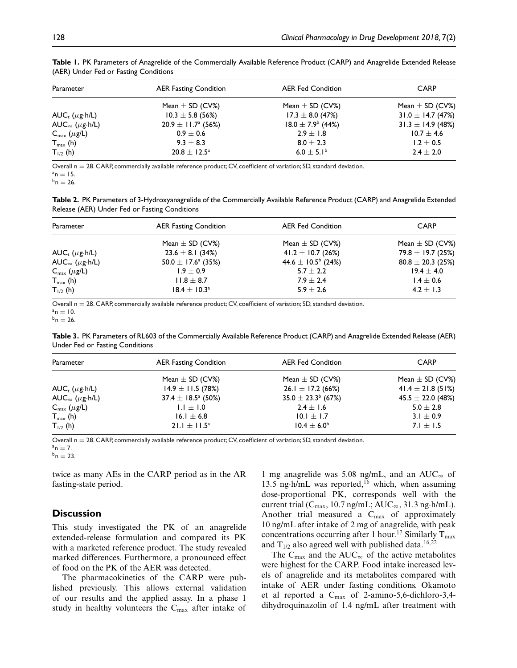| Parameter                       | <b>AER Fasting Condition</b>  | <b>AER Fed Condition</b>     | <b>CARP</b>           |  |
|---------------------------------|-------------------------------|------------------------------|-----------------------|--|
|                                 | Mean $\pm$ SD (CV%)           | Mean $\pm$ SD (CV%)          | Mean $\pm$ SD (CV%)   |  |
| $AUC_{r}$ ( $\mu$ g·h/L)        | $10.3 \pm 5.8$ (56%)          | $17.3 \pm 8.0$ (47%)         | 31.0 $\pm$ 14.7 (47%) |  |
| AUC <sub>∞</sub> ( $\mu$ g·h/L) | $20.9 \pm 11.7^{\circ}$ (56%) | $18.0 \pm 7.9^{\circ}$ (44%) | $31.3 \pm 14.9$ (48%) |  |
| $C_{\text{max}}(\mu g/L)$       | $0.9 \pm 0.6$                 | $2.9 \pm 1.8$                | $10.7 \pm 4.6$        |  |
| $T_{\text{max}}$ (h)            | $9.3 \pm 8.3$                 | $8.0 \pm 2.3$                | $1.2 \pm 0.5$         |  |
| $T_{1/2}$ (h)                   | $20.8 \pm 12.5^{\circ}$       | 6.0 $\pm$ 5.1 <sup>b</sup>   | $2.4 \pm 2.0$         |  |

**Table 1.** PK Parameters of Anagrelide of the Commercially Available Reference Product (CARP) and Anagrelide Extended Release (AER) Under Fed or Fasting Conditions

Overall n = 28. CARP, commercially available reference product; CV, coefficient of variation; SD, standard deviation.<br>  ${}^{a}n = 15$ .<br>  ${}^{b}n = 26$ .

**Table 2.** PK Parameters of 3-Hydroxyanagrelide of the Commercially Available Reference Product (CARP) and Anagrelide Extended Release (AER) Under Fed or Fasting Conditions

| Parameter                       | <b>AER Fasting Condition</b>       | <b>AER Fed Condition</b>           | <b>CARP</b>           |  |
|---------------------------------|------------------------------------|------------------------------------|-----------------------|--|
|                                 | Mean $\pm$ SD (CV%)                | Mean $\pm$ SD (CV%)                | Mean $\pm$ SD (CV%)   |  |
| AUC <sub>t</sub> ( $\mu$ g·h/L) | $23.6 \pm 8.1$ (34%)               | 41.2 $\pm$ 10.7 (26%)              | 79.8 $\pm$ 19.7 (25%) |  |
| AUC <sub>∞</sub> ( $\mu$ g⋅h/L) | 50.0 $\pm$ 17.6 <sup>a</sup> (35%) | 44.6 $\pm$ 10.5 <sup>b</sup> (24%) | $80.8 \pm 20.3$ (25%) |  |
| $C_{\text{max}}(\mu g/L)$       | $1.9 \pm 0.9$                      | $5.7 \pm 2.2$                      | $19.4 \pm 4.0$        |  |
| $T_{\text{max}}$ (h)            | $11.8 \pm 8.7$                     | $7.9 \pm 2.4$                      | $1.4 \pm 0.6$         |  |
| $T_{1/2}$ (h)                   | $18.4 \pm 10.3^{\circ}$            | $5.9 \pm 2.6$                      | $4.2 \pm 1.3$         |  |

Overall n = 28. CARP, commercially available reference product; CV, coefficient of variation; SD, standard deviation.<br> ${}^{a}n = 10$ .<br> ${}^{b}n = 26$ .

**Table 3.** PK Parameters of RL603 of the Commercially Available Reference Product (CARP) and Anagrelide Extended Release (AER) Under Fed or Fasting Conditions

| Parameter                       | <b>AER Fasting Condition</b>  | <b>AER Fed Condition</b> | <b>CARP</b>           |  |
|---------------------------------|-------------------------------|--------------------------|-----------------------|--|
|                                 | Mean $\pm$ SD (CV%)           | Mean $\pm$ SD (CV%)      | Mean $\pm$ SD (CV%)   |  |
| AUC <sub>r</sub> $(\mu$ g·h/L)  | $14.9 \pm 11.5$ (78%)         | $26.1 \pm 17.2$ (66%)    | 41.4 $\pm$ 21.8 (51%) |  |
| AUC <sub>∞</sub> ( $\mu$ g·h/L) | $37.4 \pm 18.5^{\circ}$ (50%) | $35.0 \pm 23.3^b$ (67%)  | $45.5 \pm 22.0$ (48%) |  |
| $C_{\text{max}}$ ( $\mu$ g/L)   | $1.1 \pm 1.0$                 | $2.4 \pm 1.6$            | $5.0 \pm 2.8$         |  |
| $T_{\text{max}}$ (h)            | 16.1 $\pm$ 6.8                | $10.1 \pm 1.7$           | 3.1 $\pm$ 0.9         |  |
| $T_{1/2}$ (h)                   | $21.1 \pm 11.5^{\circ}$       | $10.4 \pm 6.0^{\circ}$   | 7.1 $\pm$ 1.5         |  |

Overall n = 28. CARP, commercially available reference product; CV, coefficient of variation; SD, standard deviation.<br>  ${}^{a}$ n = 7.<br>  ${}^{b}$ n = 23.

twice as many AEs in the CARP period as in the AR fasting-state period.

## **Discussion**

This study investigated the PK of an anagrelide extended-release formulation and compared its PK with a marketed reference product. The study revealed marked differences. Furthermore, a pronounced effect of food on the PK of the AER was detected.

The pharmacokinetics of the CARP were published previously. This allows external validation of our results and the applied assay. In a phase 1 study in healthy volunteers the  $C_{\text{max}}$  after intake of

1 mg anagrelide was 5.08 ng/mL, and an  $AUC_{\infty}$  of 13.5 ng·h/mL was reported,<sup>16</sup> which, when assuming dose-proportional PK, corresponds well with the current trial ( $C_{\text{max}}$ , 10.7 ng/mL; AU $C_{\infty}$ , 31.3 ng·h/mL). Another trial measured a  $C_{\text{max}}$  of approximately 10 ng/mL after intake of 2 mg of anagrelide, with peak concentrations occurring after 1 hour.<sup>17</sup> Similarly  $T_{\text{max}}$ and  $T_{1/2}$  also agreed well with published data.<sup>16,22</sup>

The  $C_{\text{max}}$  and the AUC<sub>∞</sub> of the active metabolites were highest for the CARP. Food intake increased levels of anagrelide and its metabolites compared with intake of AER under fasting conditions. Okamoto et al reported a  $C_{\text{max}}$  of 2-amino-5,6-dichloro-3,4dihydroquinazolin of 1.4 ng/mL after treatment with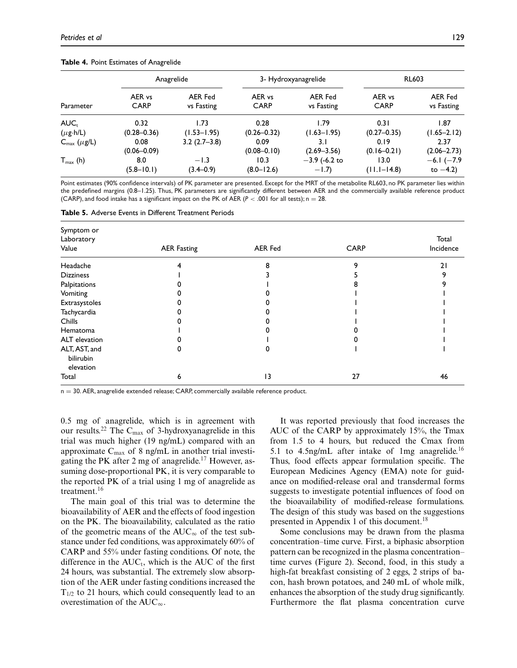|                           | Anagrelide            |                       | 3- Hydroxyanagrelide  |                              | <b>RL603</b>          |                       |
|---------------------------|-----------------------|-----------------------|-----------------------|------------------------------|-----------------------|-----------------------|
| Parameter                 | AER vs<br><b>CARP</b> | AER Fed<br>vs Fasting | AER vs<br><b>CARP</b> | <b>AER Fed</b><br>vs Fasting | AER vs<br><b>CARP</b> | AER Fed<br>vs Fasting |
| AUC <sub>r</sub>          | 0.32                  | 1.73                  | 0.28                  | 1.79                         | 0.31                  | 1.87                  |
| $(\mu g \cdot h/L)$       | $(0.28 - 0.36)$       | $(1.53 - 1.95)$       | $(0.26 - 0.32)$       | $(1.63 - 1.95)$              | $(0.27 - 0.35)$       | $(1.65 - 2.12)$       |
| $C_{\text{max}}(\mu g/L)$ | 0.08                  | $3.2(2.7-3.8)$        | 0.09                  | 3. I                         | 0.19                  | 2.37                  |
|                           | $(0.06 - 0.09)$       |                       | $(0.08 - 0.10)$       | $(2.69 - 3.56)$              | $(0.16 - 0.21)$       | $(2.06 - 2.73)$       |
| $T_{\text{max}}$ (h)      | 8.0                   | $-1.3$                | 10.3                  | $-3.9$ (-6.2 to              | 13.0                  | $-6.1$ ( $-7.9$ )     |
|                           | $(5.8 - 10.1)$        | $(3.4 - 0.9)$         | $(8.0 - 12.6)$        | $-1.7$                       | $(11.1 - 14.8)$       | to $-4.2$ )           |

#### **Table 4.** Point Estimates of Anagrelide

Point estimates (90% confidence intervals) of PK parameter are presented. Except for the MRT of the metabolite RL603, no PK parameter lies within the predefined margins (0.8–1.25). Thus, PK parameters are significantly different between AER and the commercially available reference product (CARP), and food intake has a significant impact on the PK of AER ( $P < .001$  for all tests); n = 28.

**Table 5.** Adverse Events in Different Treatment Periods

| Symptom or<br>Laboratory                |                    |                |             | Total     |
|-----------------------------------------|--------------------|----------------|-------------|-----------|
| Value                                   | <b>AER Fasting</b> | <b>AER Fed</b> | <b>CARP</b> | Incidence |
| Headache                                |                    |                |             | 21        |
| <b>Dizziness</b>                        |                    |                |             |           |
| Palpitations                            |                    |                |             |           |
| Vomiting                                |                    |                |             |           |
| Extrasystoles                           |                    |                |             |           |
| Tachycardia                             |                    |                |             |           |
| Chills                                  |                    |                |             |           |
| Hematoma                                |                    |                |             |           |
| ALT elevation                           |                    |                |             |           |
| ALT, AST, and<br>bilirubin<br>elevation |                    |                |             |           |
| Total                                   | o                  | 13             | 27          | 46        |

 $n = 30$ . AER, anagrelide extended release; CARP, commercially available reference product.

0.5 mg of anagrelide, which is in agreement with our results.<sup>22</sup> The C<sub>max</sub> of 3-hydroxyanagrelide in this trial was much higher (19 ng/mL) compared with an approximate  $C_{\text{max}}$  of 8 ng/mL in another trial investigating the PK after 2 mg of anagrelide.<sup>17</sup> However, assuming dose-proportional PK, it is very comparable to the reported PK of a trial using 1 mg of anagrelide as treatment.16

The main goal of this trial was to determine the bioavailability of AER and the effects of food ingestion on the PK. The bioavailability, calculated as the ratio of the geometric means of the  $AUC_{\infty}$  of the test substance under fed conditions, was approximately 60% of CARP and 55% under fasting conditions. Of note, the difference in the  $AUC_t$ , which is the AUC of the first 24 hours, was substantial. The extremely slow absorption of the AER under fasting conditions increased the  $T_{1/2}$  to 21 hours, which could consequently lead to an overestimation of the  $AUC_{\infty}$ .

It was reported previously that food increases the AUC of the CARP by approximately 15%, the Tmax from 1.5 to 4 hours, but reduced the Cmax from 5.1 to 4.5ng/mL after intake of 1mg anagrelide.<sup>16</sup> Thus, food effects appear formulation specific. The European Medicines Agency (EMA) note for guidance on modified-release oral and transdermal forms suggests to investigate potential influences of food on the bioavailability of modified-release formulations. The design of this study was based on the suggestions presented in Appendix 1 of this document.<sup>18</sup>

Some conclusions may be drawn from the plasma concentration–time curve. First, a biphasic absorption pattern can be recognized in the plasma concentration– time curves (Figure 2). Second, food, in this study a high-fat breakfast consisting of 2 eggs, 2 strips of bacon, hash brown potatoes, and 240 mL of whole milk, enhances the absorption of the study drug significantly. Furthermore the flat plasma concentration curve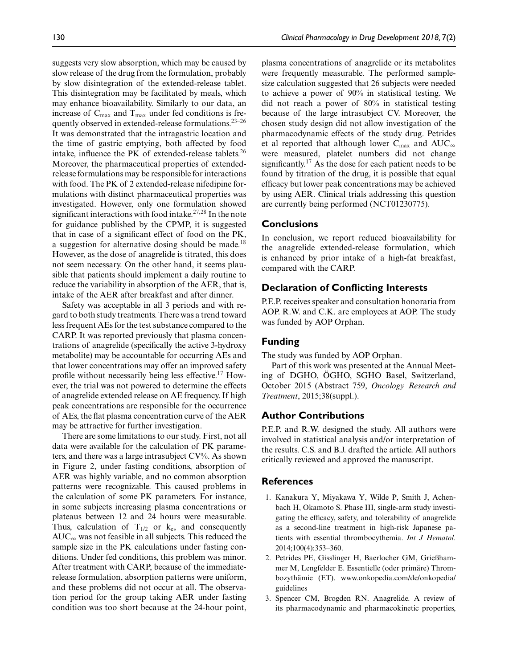suggests very slow absorption, which may be caused by slow release of the drug from the formulation, probably by slow disintegration of the extended-release tablet. This disintegration may be facilitated by meals, which may enhance bioavailability. Similarly to our data, an increase of  $C_{\text{max}}$  and  $T_{\text{max}}$  under fed conditions is frequently observed in extended-release formulations.23–26 It was demonstrated that the intragastric location and the time of gastric emptying, both affected by food intake, influence the PK of extended-release tablets. $^{26}$ Moreover, the pharmaceutical properties of extendedrelease formulations may be responsible for interactions with food. The PK of 2 extended-release nifedipine formulations with distinct pharmaceutical properties was investigated. However, only one formulation showed significant interactions with food intake.<sup>27,28</sup> In the note for guidance published by the CPMP, it is suggested that in case of a significant effect of food on the PK, a suggestion for alternative dosing should be made.<sup>18</sup> However, as the dose of anagrelide is titrated, this does not seem necessary. On the other hand, it seems plausible that patients should implement a daily routine to reduce the variability in absorption of the AER, that is, intake of the AER after breakfast and after dinner.

Safety was acceptable in all 3 periods and with regard to both study treatments. There was a trend toward less frequent AEs for the test substance compared to the CARP. It was reported previously that plasma concentrations of anagrelide (specifically the active 3-hydroxy metabolite) may be accountable for occurring AEs and that lower concentrations may offer an improved safety profile without necessarily being less effective.<sup>17</sup> However, the trial was not powered to determine the effects of anagrelide extended release on AE frequency. If high peak concentrations are responsible for the occurrence of AEs, the flat plasma concentration curve of the AER may be attractive for further investigation.

There are some limitations to our study. First, not all data were available for the calculation of PK parameters, and there was a large intrasubject  $CV\%$ . As shown in Figure 2, under fasting conditions, absorption of AER was highly variable, and no common absorption patterns were recognizable. This caused problems in the calculation of some PK parameters. For instance, in some subjects increasing plasma concentrations or plateaus between 12 and 24 hours were measurable. Thus, calculation of  $T_{1/2}$  or  $k_e$ , and consequently  $\mathrm{AUC}_\infty$  was not feasible in all subjects. This reduced the sample size in the PK calculations under fasting conditions. Under fed conditions, this problem was minor. After treatment with CARP, because of the immediaterelease formulation, absorption patterns were uniform, and these problems did not occur at all. The observation period for the group taking AER under fasting condition was too short because at the 24-hour point,

plasma concentrations of anagrelide or its metabolites were frequently measurable. The performed samplesize calculation suggested that 26 subjects were needed to achieve a power of 90% in statistical testing. We did not reach a power of 80% in statistical testing because of the large intrasubject CV. Moreover, the chosen study design did not allow investigation of the pharmacodynamic effects of the study drug. Petrides et al reported that although lower  $\rm C_{max}$  and  $\rm AUC_{\infty}$ were measured, platelet numbers did not change significantly.<sup>17</sup> As the dose for each patient needs to be found by titration of the drug, it is possible that equal efficacy but lower peak concentrations may be achieved by using AER. Clinical trials addressing this question are currently being performed (NCT01230775).

## **Conclusions**

In conclusion, we report reduced bioavailability for the anagrelide extended-release formulation, which is enhanced by prior intake of a high-fat breakfast, compared with the CARP.

## **Declaration of Conflicting Interests**

P.E.P. receives speaker and consultation honoraria from AOP. R.W. and C.K. are employees at AOP. The study was funded by AOP Orphan.

## **Funding**

The study was funded by AOP Orphan.

Part of this work was presented at the Annual Meeting of DGHO, ÖGHO, SGHO Basel, Switzerland, October 2015 (Abstract 759, *Oncology Research and Treatment*, 2015;38(suppl.).

## **Author Contributions**

P.E.P. and R.W. designed the study. All authors were involved in statistical analysis and/or interpretation of the results. C.S. and B.J. drafted the article. All authors critically reviewed and approved the manuscript.

## **References**

- 1. Kanakura Y, Miyakawa Y, Wilde P, Smith J, Achenbach H, Okamoto S. Phase III, single-arm study investigating the efficacy, safety, and tolerability of anagrelide as a second-line treatment in high-risk Japanese patients with essential thrombocythemia. *Int J Hematol*. 2014;100(4):353–360.
- 2. Petrides PE, Gisslinger H, Baerlocher GM, Grießhammer M, Lengfelder E. Essentielle (oder primäre) Thrombozythamie (ET). www.onkopedia.com/de/onkopedia/ ¨ guidelines
- 3. Spencer CM, Brogden RN. Anagrelide. A review of its pharmacodynamic and pharmacokinetic properties,